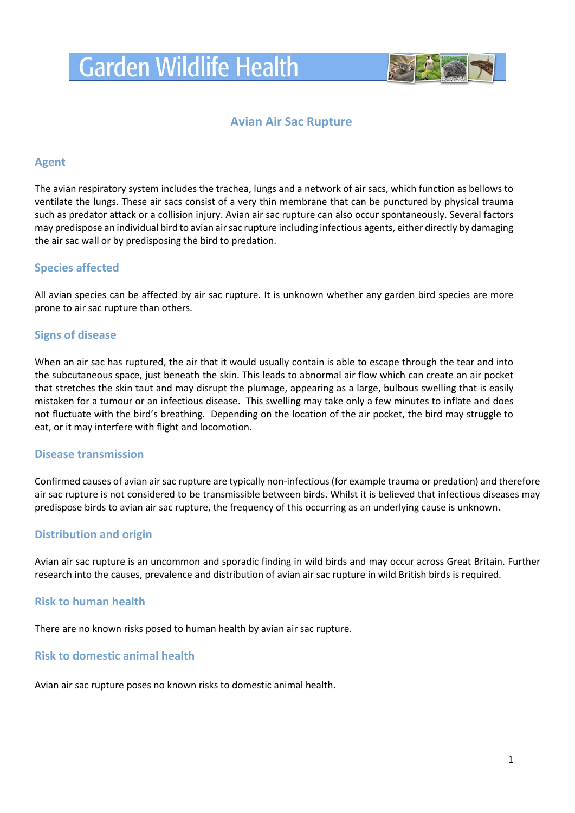# **Garden Wildlife Health**



## **Avian Air Sac Rupture**

## **Agent**

The avian respiratory system includes the trachea, lungs and a network of air sacs, which function as bellows to ventilate the lungs. These air sacs consist of a very thin membrane that can be punctured by physical trauma such as predator attack or a collision injury. Avian air sac rupture can also occur spontaneously. Several factors may predispose an individual bird to avian air sac rupture including infectious agents, either directly by damaging the air sac wall or by predisposing the bird to predation.

## **Species affected**

All avian species can be affected by air sac rupture. It is unknown whether any garden bird species are more prone to air sac rupture than others.

## **Signs of disease**

When an air sac has ruptured, the air that it would usually contain is able to escape through the tear and into the subcutaneous space, just beneath the skin. This leads to abnormal air flow which can create an air pocket that stretches the skin taut and may disrupt the plumage, appearing as a large, bulbous swelling that is easily mistaken for a tumour or an infectious disease. This swelling may take only a few minutes to inflate and does not fluctuate with the bird's breathing. Depending on the location of the air pocket, the bird may struggle to eat, or it may interfere with flight and locomotion.

### **Disease transmission**

Confirmed causes of avian air sac rupture are typically non-infectious (for example trauma or predation) and therefore air sac rupture is not considered to be transmissible between birds. Whilst it is believed that infectious diseases may predispose birds to avian air sac rupture, the frequency of this occurring as an underlying cause is unknown.

## **Distribution and origin**

Avian air sac rupture is an uncommon and sporadic finding in wild birds and may occur across Great Britain. Further research into the causes, prevalence and distribution of avian air sac rupture in wild British birds is required.

### **Risk to human health**

There are no known risks posed to human health by avian air sac rupture.

## **Risk to domestic animal health**

Avian air sac rupture poses no known risks to domestic animal health.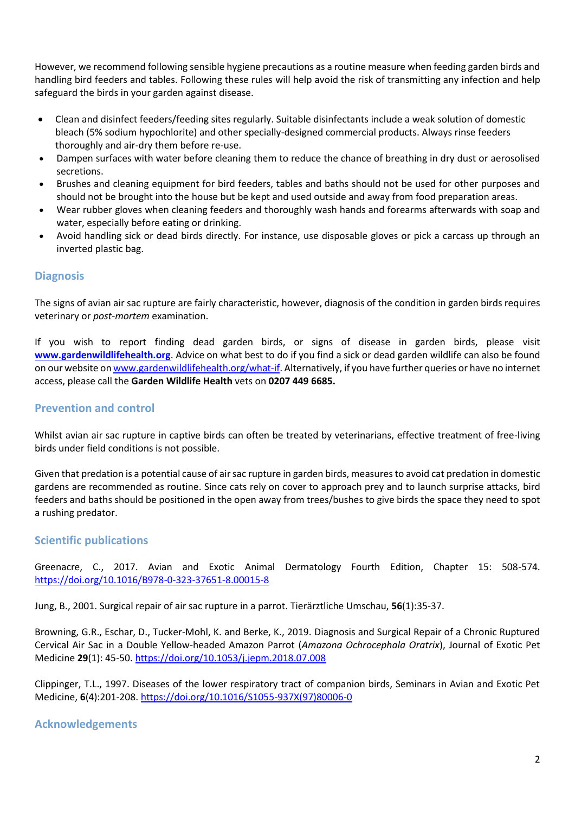However, we recommend following sensible hygiene precautions as a routine measure when feeding garden birds and handling bird feeders and tables. Following these rules will help avoid the risk of transmitting any infection and help safeguard the birds in your garden against disease.

- Clean and disinfect feeders/feeding sites regularly. Suitable disinfectants include a weak solution of domestic bleach (5% sodium hypochlorite) and other specially-designed commercial products. Always rinse feeders thoroughly and air-dry them before re-use.
- Dampen surfaces with water before cleaning them to reduce the chance of breathing in dry dust or aerosolised secretions.
- Brushes and cleaning equipment for bird feeders, tables and baths should not be used for other purposes and should not be brought into the house but be kept and used outside and away from food preparation areas.
- Wear rubber gloves when cleaning feeders and thoroughly wash hands and forearms afterwards with soap and water, especially before eating or drinking.
- Avoid handling sick or dead birds directly. For instance, use disposable gloves or pick a carcass up through an inverted plastic bag.

## **Diagnosis**

The signs of avian air sac rupture are fairly characteristic, however, diagnosis of the condition in garden birds requires veterinary or *post-mortem* examination.

If you wish to report finding dead garden birds, or signs of disease in garden birds, please visit **[www.gardenwildlifehealth.org](http://www.gardenwildlifehealth.org/)**. Advice on what best to do if you find a sick or dead garden wildlife can also be found on our website o[n www.gardenwildlifehealth.org/what-if.](http://www.gardenwildlifehealth.org/what-if) Alternatively, if you have further queries or have no internet access, please call the **Garden Wildlife Health** vets on **0207 449 6685.**

#### **Prevention and control**

Whilst avian air sac rupture in captive birds can often be treated by veterinarians, effective treatment of free-living birds under field conditions is not possible.

Given that predation is a potential cause of air sac rupture in garden birds, measures to avoid cat predation in domestic gardens are recommended as routine. Since cats rely on cover to approach prey and to launch surprise attacks, bird feeders and baths should be positioned in the open away from trees/bushes to give birds the space they need to spot a rushing predator.

### **Scientific publications**

Greenacre, C., 2017. Avian and Exotic Animal Dermatology Fourth Edition, Chapter 15: 508-574. <https://doi.org/10.1016/B978-0-323-37651-8.00015-8>

Jung, B., 2001. Surgical repair of air sac rupture in a parrot. Tierärztliche Umschau, **56**(1):35-37.

Browning, G.R., Eschar, D., Tucker-Mohl, K. and Berke, K., 2019. Diagnosis and Surgical Repair of a Chronic Ruptured Cervical Air Sac in a Double Yellow-headed Amazon Parrot (*Amazona Ochrocephala Oratrix*), Journal of Exotic Pet Medicine **29**(1): 45-50.<https://doi.org/10.1053/j.jepm.2018.07.008>

Clippinger, T.L., 1997. Diseases of the lower respiratory tract of companion birds, Seminars in Avian and Exotic Pet Medicine, **6**(4):201-208[. https://doi.org/10.1016/S1055-937X\(97\)80006-0](https://doi.org/10.1016/S1055-937X(97)80006-0)

### **Acknowledgements**